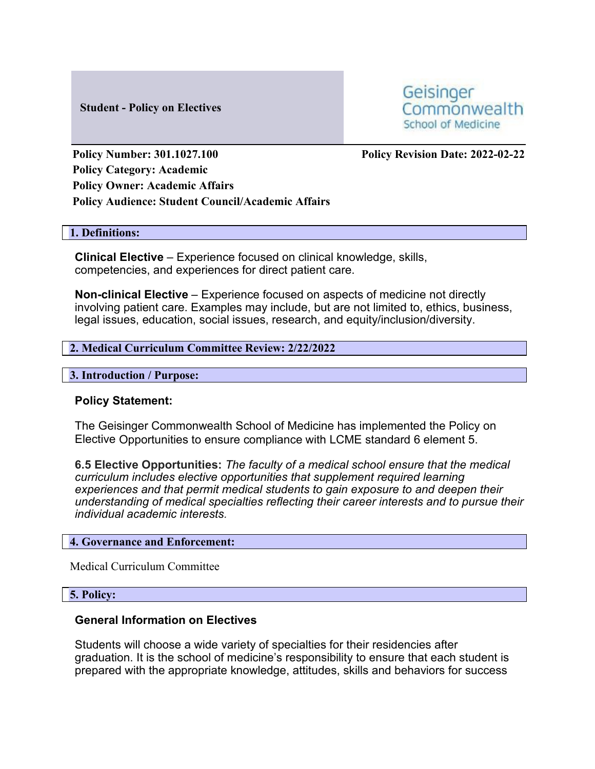#### **Student - Policy on Electives**

Geisinger Commonwealth School of Medicine

**Policy Number: 301.1027.100 Policy Revision Date: 2022-02-22 Policy Category: Academic Policy Owner: Academic Affairs Policy Audience: Student Council/Academic Affairs**

#### **1. Definitions:**

**Clinical Elective** – Experience focused on clinical knowledge, skills, competencies, and experiences for direct patient care.

**Non-clinical Elective** – Experience focused on aspects of medicine not directly involving patient care. Examples may include, but are not limited to, ethics, business, legal issues, education, social issues, research, and equity/inclusion/diversity.

## **2. Medical Curriculum Committee Review: 2/22/2022**

#### **3. Introduction / Purpose:**

## **Policy Statement:**

The Geisinger Commonwealth School of Medicine has implemented the Policy on Elective Opportunities to ensure compliance with LCME standard 6 element 5.

**6.5 Elective Opportunities:** *The faculty of a medical school ensure that the medical curriculum includes elective opportunities that supplement required learning experiences and that permit medical students to gain exposure to and deepen their understanding of medical specialties reflecting their career interests and to pursue their individual academic interests.*

#### **4. Governance and Enforcement:**

Medical Curriculum Committee

#### **5. Policy:**

## **General Information on Electives**

Students will choose a wide variety of specialties for their residencies after graduation. It is the school of medicine's responsibility to ensure that each student is prepared with the appropriate knowledge, attitudes, skills and behaviors for success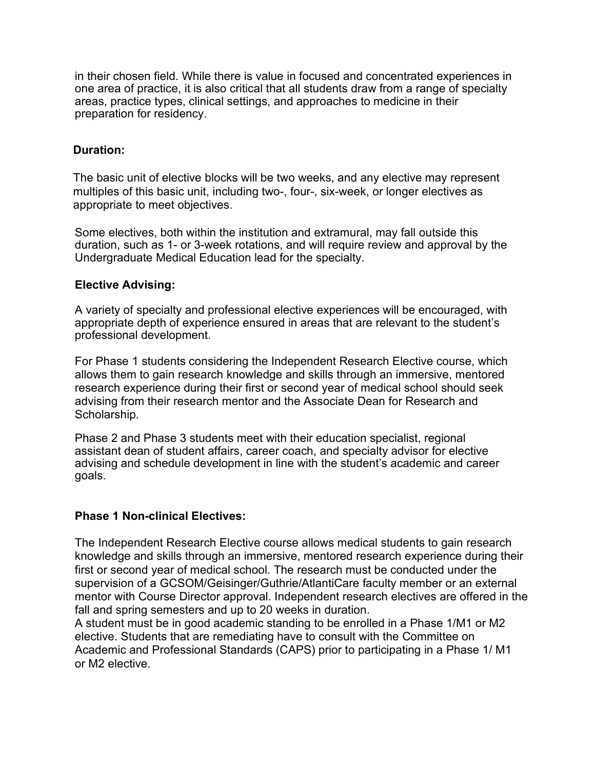in their chosen field. While there is value in focused and concentrated experiences in one area of practice, it is also critical that all students draw from a range of specialty areas, practice types, clinical settings, and approaches to medicine in their preparation for residency.

# **Duration:**

The basic unit of elective blocks will be two weeks, and any elective may represent multiples of this basic unit, including two-, four-, six-week, or longer electives as appropriate to meet objectives.

Some electives, both within the institution and extramural, may fall outside this duration, such as 1- or 3-week rotations, and will require review and approval by the Undergraduate Medical Education lead for the specialty.

## **Elective Advising:**

A variety of specialty and professional elective experiences will be encouraged, with appropriate depth of experience ensured in areas that are relevant to the student's professional development.

For Phase 1 students considering the Independent Research Elective course, which allows them to gain research knowledge and skills through an immersive, mentored research experience during their first or second year of medical school should seek advising from their research mentor and the Associate Dean for Research and Scholarship.

Phase 2 and Phase 3 students meet with their education specialist, regional assistant dean of student affairs, career coach, and specialty advisor for elective advising and schedule development in line with the student's academic and career goals.

## **Phase 1 Non-clinical Electives:**

The Independent Research Elective course allows medical students to gain research knowledge and skills through an immersive, mentored research experience during their first or second year of medical school. The research must be conducted under the supervision of a GCSOM/Geisinger/Guthrie/AtlantiCare faculty member or an external mentor with Course Director approval. Independent research electives are offered in the fall and spring semesters and up to 20 weeks in duration.

A student must be in good academic standing to be enrolled in a Phase 1/M1 or M2 elective. Students that are remediating have to consult with the Committee on Academic and Professional Standards (CAPS) prior to participating in a Phase 1/ M1 or M2 elective.